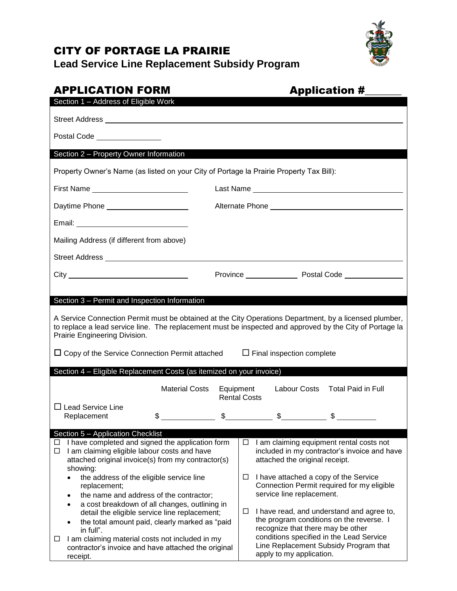# CITY OF PORTAGE LA PRAIRIE

**Lead Service Line Replacement Subsidy Program**

# APPLICATION FORM Application # Section 1 – Address of Eligible Work Street Address Postal Code Section 2 – Property Owner Information Property Owner's Name (as listed on your City of Portage la Prairie Property Tax Bill): First Name Last Name Daytime Phone Alternate Phone Email: Mailing Address (if different from above) Street Address City City **Community Province** Province Postal Code Postal Code Section 3 – Permit and Inspection Information A Service Connection Permit must be obtained at the City Operations Department, by a licensed plumber, to replace a lead service line. The replacement must be inspected and approved by the City of Portage la Prairie Engineering Division.  $\Box$  Copy of the Service Connection Permit attached  $\Box$  Final inspection complete Section 4 – Eligible Replacement Costs (as itemized on your invoice) Material Costs Equipment Labour Costs Total Paid in Full Rental Costs  $\square$  Lead Service Line  $\frac{1}{\text{Replacement}}$   $\frac{1}{\text{Steplacent}}$   $\frac{1}{\text{Steplacent}}$   $\frac{1}{\text{Steplact}}$   $\frac{1}{\text{Steplact}}$   $\frac{1}{\text{Steplact}}$   $\frac{1}{\text{Steplact}}$   $\frac{1}{\text{Steplact}}$   $\frac{1}{\text{Steplact}}$   $\frac{1}{\text{Steplact}}$   $\frac{1}{\text{Steplact}}$   $\frac{1}{\text{Steplact}}$   $\frac{1}{\text{Steplact}}$   $\frac{1}{\text{Steplact}}$   $\frac{1}{\text{Steplact$ Section 5 – Application Checklist  $\Box$  I have completed and signed the application form  $\Box$  I am claiming eligible labour costs and have attached original invoice(s) from my contractor(s) showing: • the address of the eligible service line replacement; • the name and address of the contractor; a cost breakdown of all changes, outlining in detail the eligible service line replacement; the total amount paid, clearly marked as "paid in full".  $\Box$  I am claiming material costs not included in my contractor's invoice and have attached the original receipt.  $\Box$  I am claiming equipment rental costs not included in my contractor's invoice and have attached the original receipt.  $\Box$  I have attached a copy of the Service Connection Permit required for my eligible service line replacement.  $\Box$  I have read, and understand and agree to, the program conditions on the reverse. I recognize that there may be other conditions specified in the Lead Service Line Replacement Subsidy Program that apply to my application.